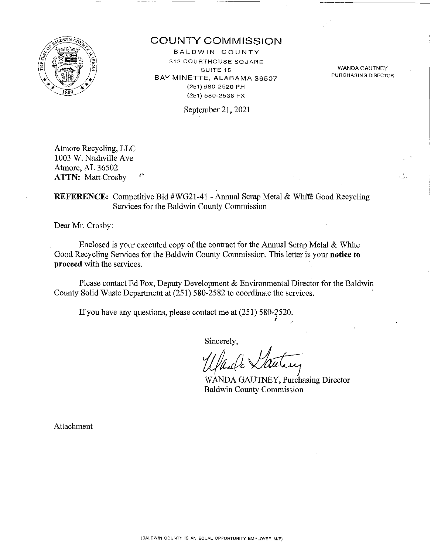

# COUNTY COMMISSION

BALDWIN COUNTY 312 COURTHOUSE SQUARE SUITE 15 BAY MINETTE, ALABAMA 36507 (251) 580-2520 PH (251) 580-2536 FX

WANDA GAUTNEY PURCHASING DIRECTOR

 $\int_{\mathbb{R}^2}$ 

September 21, 2021

Atmore Recycling, LLC 1003 W. Nashville Ave Atmore, AL 36502 ۴, ATTN: Matt Crosby

# REFERENCE: Competitive Bid #WG21-41 - Annual Scrap Metal & White Good Recycling Services for the Baldwin County Commission

Dear Mr. Crosby:

Enclosed is your executed copy of the contract for the Annual Scrap Metal & White Good Recycling Services for the Baldwin County Commission. This letter is your notice to proceed with the services.

Please contact Ed Fox, Deputy Development & Environmental Director for the Baldwin County Solid Waste Department at (251) 580-2582 to coordinate the services.

If you have any questions, please contact me at  $(251)$  580- $2520$ .

Sincerely,

f//£4 *vlau--t;* 

WANDA GAUTNEY, Purchasing Director Baldwin County Commission

Attachment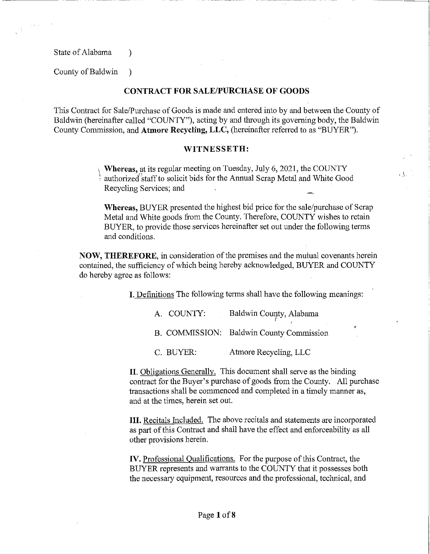State of Alabama (b)

 $\sqrt{1+\beta}$  ,  $\beta$ 

-------- ----- -----------------------

County of Baldwin )

## **CONTRACT FOR SALE/PURCHASE OF GOODS**

This Contract for Sale/Purchase of Goods is made and entered into by and between the County of Baldwin (hereinafter called "COUNTY"), acting by and through its governing body, the Baldwin County Commission, and **Atmore Recycling, LLC,** (hereinafter referred to as "BUYER").

#### **WITNESSETH:**

<sup>1</sup>**Whereas,** at its regular meeting on Tuesday, July 6, 2021, the COUNTY authorized staff to solicit bids for the Annual Scrap Metal and White Good Recycling Services; and

**Whereas,** BUYER presented the highest bid price for the sale/purchase of Scrap Metal and White goods from the County. Therefore, COUNTY wishes to retain BUYER, to provide those services hereinafter set out under the following terms and conditions.

**NOW, THEREFORE,** in consideration of the premises and the mutual covenants herein contained, the sufficiency of which being hereby acknowledged, BuYER and COUNTY do hereby agree as follows:

I. Definitions The following terms shall have the following meanings:

| A. COUNTY: | Baldwin County, Alabama                  |
|------------|------------------------------------------|
|            | B. COMMISSION: Baldwin County Commission |

C. BUYER: Atmore Recycling, LLC

**II.** Obligations Generally. This document shall serve as the binding contract for the Buyer's purchase of goods from the County. All purchase transactions shall be commenced and completed in a timely manner as, and at the times, herein set out.

**III.** Recitals Included. The above recitals and statements are incorporated as part of this Contract and shall have the effect and enforceability as all other provisions herein.

**IV.** Professional Qualifications. For the purpose of this Contract, the BUYER represents and warrants to the COUNTY that it possesses both the necessary equipment, resources and the professional, technical, and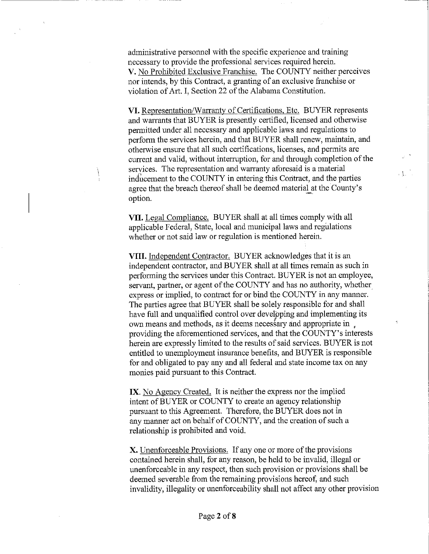administrative personnel with the specific experience and training necessary to provide the professional services required herein. V. No Prohibited Exclusive Franchise. The COUNTY neither perceives nor intends, by this Contract, a granting of an exclusive franchise or violation of Art. I, Section 22 of the Alabama Constitution.

---------

VI. Representation/Warranty of Certifications, Etc. BUYER represents and warrants that BUYER is presently certified, licensed and otherwise permitted under all necessary and applicable laws and regulations to perfonn the services herein, and that BUYER shall renew, maintain, and otherwise ensure that all such certifications, licenses, and permits are current and valid, without interruption, for and through completion of the services. The representation and warranty aforesaid is a material inducement to the COUNTY in entering this Contract, and the parties agree that the breach thereof shall be deemed material at the County's option.

'\,\_\_

**VII.** Legal Compliance. BUYER shall at all times comply with all applicable Federal, State, local and municipal laws and regulations whether or not said law or regulation is mentioned herein.

**VIII.** Independent Contractor. BUYER acknowledges that it is an independent contractor, and BUYER shall at all times remain as such in performing the services under this Contract. BUYER is not an employee, servant, partner, or agent of the COUNTY and has no authority, whether express or implied, to contract for or bind the COUNTY in any manner. The parties agree that BUYER shall be solely responsible for and shall have full and unqualified control over developing and implementing its own means and methods, as it deems necessary and appropriate in  $\mu$ providing the aforementioned services, and that the COUNTY' s interests herein are expressly limited to the results of said services. BUYER is not entitled to unemployment insurance benefits, and BUYER is responsible for and obligated to pay any and all federal and state income tax on any monies paid pursuant to this Contract.

**IX.** No Agency Created. It is neither the express nor the implied intent of BUYER or COUNTY to create an agency relationship pursuant to this Agreement. Therefore, the BUYER does not in any manner act on behalf of COUNTY, and the creation of such a relationship is prohibited and void.

X. Unenforceable Provisions. If any one or more of the provisions contained herein shall, for any reason, be held to be invalid, illegal or unenforceable in any respect, then such provision or provisions shall be deemed severable from the remaining provisions hereof, and such invalidity, illegality or unenforceability shall not affect any other provision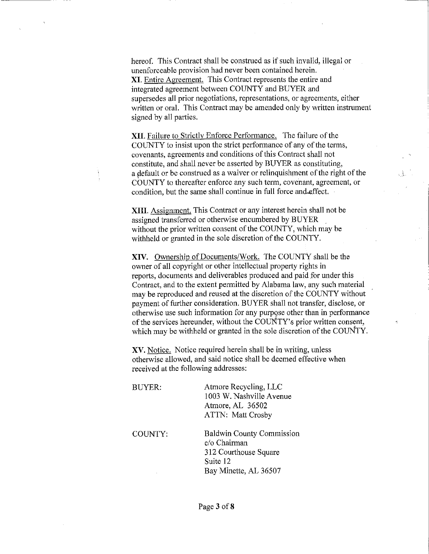hereof. This Contract shall be construed as if such invalid, illegal or unenforceable provision had never been contained herein. XI. Entire Agreement. This Contract represents the entire and integrated agreement between COUNTY and BUYER and supersedes all prior negotiations, representations, or agreements, either written or oral. This Contract may be amended only by written instrument signed by all parties.

**XII.** Failure to Strictly Enforce Performance. The failure of the COUNTY to insist upon the strict perfonnance of any of the terms, covenants, agreements and conditions of this Contract shall not constitute, and shall never be asserted by BUYER as constituting, a default or be construed as a waiver or relinquishment of the right of the COUNTY to thereafter enforce any such term, covenant, agreement, or condition, but the same shall continue in full force and.effect.

**XIII.** Assignment. This Contract or any interest herein shall not be assigned transferred or otherwise encumbered by BUYER without the prior written consent of the COUNTY, which may be withheld or granted in the sole discretion of the COUNTY.

**XIV.** Ownership of Documents/Work. The COUNTY shall be the owner of all copyright or other intellectual property rights in reports, documents and deliverables produced and paid for under this Contract, and to the extent permitted by Alabama law, any such material may be reproduced and reused at the discretion of the COUNTY without payment of further consideration. BUYER shall not transfer, disclose, or otherwise use such information for any purpose other than in performance of the services hereunder, without the CODNTY's prior written consent, which may be withheld or granted in the sole discretion of the COUNTY.

XV. Notice. Notice required herein shall be in writing, unless otherwise allowed, and said notice shall be deemed effective when received at the following addresses:

| <b>BUYER:</b> | Atmore Recycling, LLC<br>1003 W. Nashville Avenue<br>Atmore, AL 36502<br><b>ATTN: Matt Crosby</b>              |
|---------------|----------------------------------------------------------------------------------------------------------------|
| COUNTY.       | <b>Baldwin County Commission</b><br>c/o Chairman<br>312 Courthouse Square<br>Suite 12<br>Bay Minette, AL 36507 |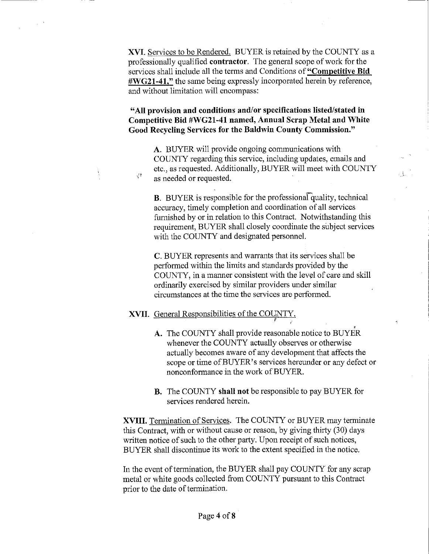**XVI.** Services to be Rendered. BUYER is retained by the COUNTY as a professionally qualified **contractor.** The general scope of work for the services shall include all the terms and Conditions of **"Competitive Bid #WG21-4l,"** the same being expressly incorporated herein by reference, and without limitation will encompass:

**"All provision and conditions and/or specifications listed/stated in Competitive Bid #WG21-41 named, Annual Scrap Metal and White Good Recycling Services for the Baldwin County Commission."** 

**A.** BUYER will provide ongoing communications with COUNTY regarding this service, including updates, emails and etc., as requested. Additionally, BUYER will meet with COUNTY as needed or requested.

гŲ.

**B.** BUYER is responsible for the professional quality, technical accuracy, timely completion and coordination of all services furnished by or in relation to this Contract. Notwithstanding this requirement, BUYER shall closely coordinate the subject services with the COUNTY and designated personnel.

**C.** BUYER represents and warrants that its services shall be perfonned within the limits and standards provided by the COUNTY, in a manner consistent with the level of care and skill ordinarily exercised by similar providers under similar circumstances at the time the services are performed.

### **XVII.** General Responsibilities of the COUNTY.

 $\mathcal{F}^{\mathbf{p}}_{\mathbf{C}}$ 

A. The COUNTY shall provide reasonable notice to BUYER whenever the COUNTY actually observes or otherwise actually becomes aware of any development that affects the scope or time of BUYER's services hereunder or any defect or nonconformance in the work of BUYER.

 $I = I$ 

**B.** The COUNTY **shall not** be responsible to pay BUYER for services rendered herein.

**XVIII.** Termination of Services. The COUNTY or BUYER may terminate this Contract, with or without cause or reason, by giving thirty (30) days written notice of such to the other party. Upon receipt of such notices, BUYER shall discontinue its work to the extent specified in the notice.

In the event of termination, the BUYER shall pay COUNTY for any scrap metal or white goods collected from COUNTY pursuant to this Contract prior to the date of termination.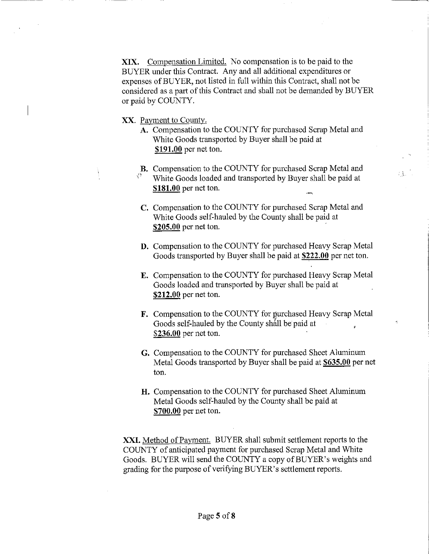**XIX.** Compensation Limited. No compensation is to be paid to the BUYER under this Contract. Any and all additional expenditures or expenses of BUYER, not listed in full within this Contract, shall not be considered as a part of this Contract and shall not be demanded by BUYER or paid by COUNTY.

--------------------~

XX. Payment to County.

- **A.** Compensation to the COUNTY for purchased Scrap Metal and White Goods transported by Buyer shall be paid at **\$191.00** per net ton.
- **B.** Compensation to the COUNTY for purchased Scrap Metal and White Goods loaded and transported by Buyer shall be paid at **\$181.00** per net ton.
- C. Compensation to the COUNTY for purchased Scrap Metal and White Goods self-hauled by the County shall be paid at **\$205.00** per net ton.
- **D.** Compensation to the COUNTY for purchased Heavy Scrap Metal Goods transported by Buyer shall be paid at **\$222.00** per net ton.
- **E.** Compensation to the COUNTY for purchased Heavy Scrap Metal Goods loaded and transported by Buyer shall be paid at **\$212.00** per net ton.
- **F.** Compensation to the COUNTY for purchased Heavy Scrap Metal Goods self-hauled by the County shall be paid at **\$236.00** per net ton.
- G. Compensation to the COUNTY for purchased Sheet Aluminum Metal Goods transported by Buyer shall be paid at **\$635.00** per net ton.
- **H.** Compensation to the COUNTY for purchased Sheet Aluminum Metal Goods self-hauled by the County shall be paid at **\$700.00** per net ton.

**XXI.** Method of Payment. BUYER shall submit settlement reports to the COUNTY of anticipated payment for purchased Scrap Metal and White Goods. BUYER will send the COUNTY a copy of BUYER's weights and grading for the purpose of verifying BUYER's settlement reports.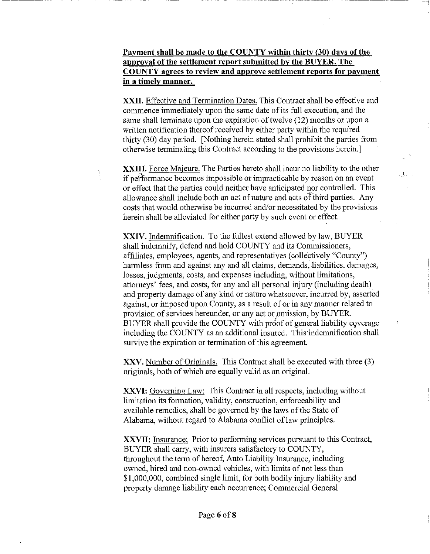# **Payment shall be made to the COUNTY within thirty (30) days of the approval of the settlement report submitted by the BUYER. The COUNTY agrees to review and approve settlement reports for payment in a timely manner.**

**XXII.** Effective and Termination Dates. This Contract shall be effective and commence immediately upon the same date of its full execution, and the same shall terminate upon the expiration of twelve (12) months or upon a written notification thereof received by either party within the required thirty (30) day period. [Nothing herein stated shall prohibit the parties from otherwise terminating this Contract according to the provisions herein.]

**XXIII.** Force Majeure. The Parties hereto shall incur no liability to the other if pefformance becomes impossible or impracticable by reason on an event or effect that the parties could neither have anticipated nor controlled. This allowance shall include both an act of nature and acts of third parties. Any costs that would otherwise be incurred and/or necessitated by the provisions herein shall be alleviated for either party by such event or effect.

 $\mathcal{C}^{\dagger}$ 

**XXIV.** Indemnification. To the fullest extend allowed by law, BUYER shall indemnify, defend and hold COUNTY and its Commissioners, affiliates, employees, agents, and representatives (collectively "County") harmless from and against any and all claims, demands, liabilities, damages, losses, judgments, costs, and expenses including, without limitations, attorneys' fees, and costs, for any and all personal injury (including death) and property damage of any kind or nature whatsoever, incurred by, asserted against, or imposed upon County, as a result of or in any manner related to provision of services hereunder, or any act or omission, by BUYER. BUYER shall provide the COUNTY with proof of general liability coverage including the COUNTY as an additional insured. This·indemnification shall survive the expiration or termination of this agreement.

**XXV.** Number of Originals. This Contract shall be executed with three (3) originals, both of which are equally valid as an original.

**XXVI:** Governing Law: This Contract in all respects, including without limitation its formation, validity, construction, enforceability and available remedies, shall be governed by the laws of the State of Alabama, without regard to Alabama conflict of law principles.

**XXVII:** Insurance: Prior to performing services pursuant to this Contract, BUYER shall carry, with insurers satisfactory to COUNTY, throughout the term of hereof, Auto Liability Insurance, including owned, hired and non-owned vehicles, with limits of not less than \$1,000,000, combined single limit, for both bodily injury liability and property damage liability each occurrence; Commercial General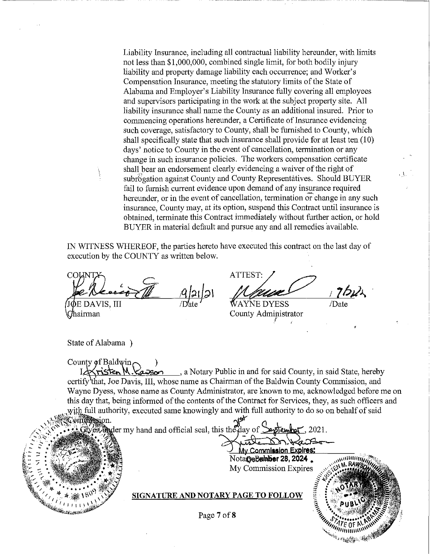Liability Insurance, including all contractual liability hereunder, with limits not less than \$1,000,000, combined single limit, for both bodily injury liability and property damage liability each occurrence; and Worker's Compensation Insurance, meeting the statutory limits of the State of Alabama and Employer's Liability Insurance fully covering all employees and supervisors participating in the work at the subject property site. All liability insurance shall name the County as an additional insured. Prior to commencing operations hereunder, a Certificate of Insurance evidencing such coverage, satisfactory to County, shall be furnished to County, which shall specifically state that such insurance shall provide for at least ten (10) days' notice to County in the event of cancellation, termination or any change in such insurance policies. The workers compensation certificate shall bear an endorsement clearly evidencing a waiver of the right of subrogation against County and County Representatives. Should BUYER fail to furnish current evidence upon demand of any insurance required hereunder, or in the event of cancellation, termination or change in any such insurance, County may, at its option, suspend this Contract until insurance is obtained, terminate this Contract immediately without further action, or hold BUYER in material default and pursue any and all remedies 'available.

IN WITNESS WHEREOF, the parties hereto have executed this contract on the last day of execution by the COUNTY as written below.

 $\frac{|A|2|}{|D|}$ E DAVIS. III

hairman

ATTEST:  $P$ ,  $2$ biks

County Administrator

ашина

/Date

State of Alabama )

County of Baldwin, risten M. Kapson , a Notary Public in and for said County, in said State, hereby certify that, Joe Davis, III, whose name as Chairman of the Baldwin County Commission, and Wayne Dyess, whose name as County Administrator, are known to me, acknowledged before me on this day that, being informed of the contents of the Contract for Services, they, as such officers and with full authority, executed same knowingly and with full authority to do so on behalf of said

omtilession. Weilingter my hand and official seal, this the day of  $\delta$ lembat. 2021.

> **My Commission Expires:** NotargeBalnber 28, 2024 My Commission Expires

**SIGNATURE AND NOTARY PAGE TO FOLLOW**